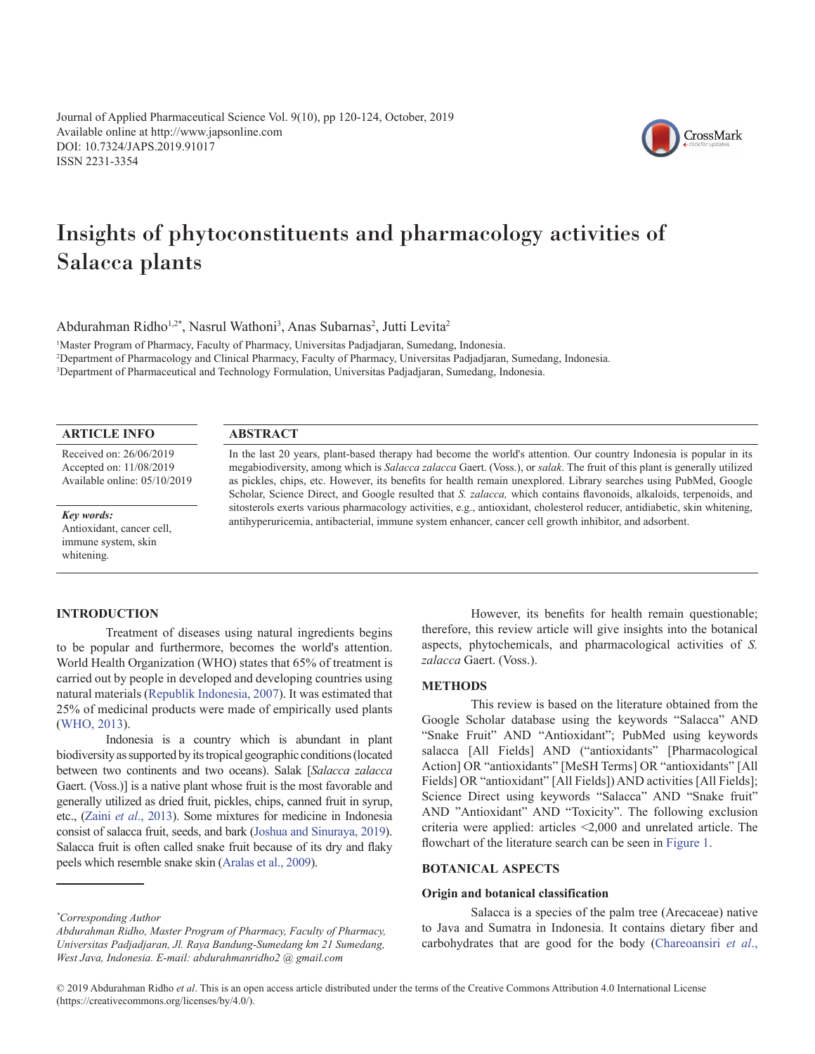Journal of Applied Pharmaceutical Science Vol. 9(10), pp 120-124, October, 2019 Available online at http://www.japsonline.com DOI: 10.7324/JAPS.2019.91017 ISSN 2231-3354



# Insights of phytoconstituents and pharmacology activities of Salacca plants

Abdurahman Ridho<sup>1,2\*</sup>, Nasrul Wathoni<sup>3</sup>, Anas Subarnas<sup>2</sup>, Jutti Levita<sup>2</sup>

1 Master Program of Pharmacy, Faculty of Pharmacy, Universitas Padjadjaran, Sumedang, Indonesia.

2 Department of Pharmacology and Clinical Pharmacy, Faculty of Pharmacy, Universitas Padjadjaran, Sumedang, Indonesia.

3 Department of Pharmaceutical and Technology Formulation, Universitas Padjadjaran, Sumedang, Indonesia.

# **ARTICLE INFO**

Received on: 26/06/2019 Accepted on: 11/08/2019 Available online: 05/10/2019

## **ABSTRACT**

In the last 20 years, plant-based therapy had become the world's attention. Our country Indonesia is popular in its megabiodiversity, among which is *Salacca zalacca* Gaert. (Voss.), or *salak*. The fruit of this plant is generally utilized as pickles, chips, etc. However, its benefits for health remain unexplored. Library searches using PubMed, Google Scholar, Science Direct, and Google resulted that *S. zalacca,* which contains flavonoids, alkaloids, terpenoids, and sitosterols exerts various pharmacology activities, e.g., antioxidant, cholesterol reducer, antidiabetic, skin whitening, antihyperuricemia, antibacterial, immune system enhancer, cancer cell growth inhibitor, and adsorbent.

# *Key words:*

Antioxidant, cancer cell, immune system, skin whitening.

# **INTRODUCTION**

Treatment of diseases using natural ingredients begins to be popular and furthermore, becomes the world's attention. World Health Organization (WHO) states that 65% of treatment is carried out by people in developed and developing countries using natural materials [\(Republik Indonesia, 2007\)](#page-4-0). It was estimated that 25% of medicinal products were made of empirically used plants ([WHO, 2013\)](#page-4-0).

Indonesia is a country which is abundant in plant biodiversity as supported by its tropical geographic conditions (located between two continents and two oceans). Salak [*Salacca zalacca*  Gaert. (Voss.)] is a native plant whose fruit is the most favorable and generally utilized as dried fruit, pickles, chips, canned fruit in syrup, etc., (Zaini *et al*[., 2013\)](#page-4-0). Some mixtures for medicine in Indonesia consist of salacca fruit, seeds, and bark [\(Joshua and Sinuraya, 2019\)](#page-4-0). Salacca fruit is often called snake fruit because of its dry and flaky peels which resemble snake skin [\(Aralas et al., 2009\)](#page-3-0).

However, its benefits for health remain questionable; therefore, this review article will give insights into the botanical aspects, phytochemicals, and pharmacological activities of *S. zalacca* Gaert. (Voss.).

# **METHODS**

This review is based on the literature obtained from the Google Scholar database using the keywords "Salacca" AND "Snake Fruit" AND "Antioxidant"; PubMed using keywords salacca [All Fields] AND ("antioxidants" [Pharmacological Action] OR "antioxidants" [MeSH Terms] OR "antioxidants" [All Fields] OR "antioxidant" [All Fields]) AND activities [All Fields]; Science Direct using keywords "Salacca" AND "Snake fruit" AND "Antioxidant" AND "Toxicity". The following exclusion criteria were applied: articles <2,000 and unrelated article. The flowchart of the literature search can be seen in [Figure 1.](#page-1-0)

# **BOTANICAL ASPECTS**

# **Origin and botanical classification**

Salacca is a species of the palm tree (Arecaceae) native to Java and Sumatra in Indonesia. It contains dietary fiber and carbohydrates that are good for the body [\(Chareoansiri](#page-3-0) *et al*.,

*<sup>\*</sup> Corresponding Author*

*Abdurahman Ridho, Master Program of Pharmacy, Faculty of Pharmacy, Universitas Padjadjaran, Jl. Raya Bandung-Sumedang km 21 Sumedang, West Java, Indonesia. E-mail: abdurahmanridho2 @ gmail.com*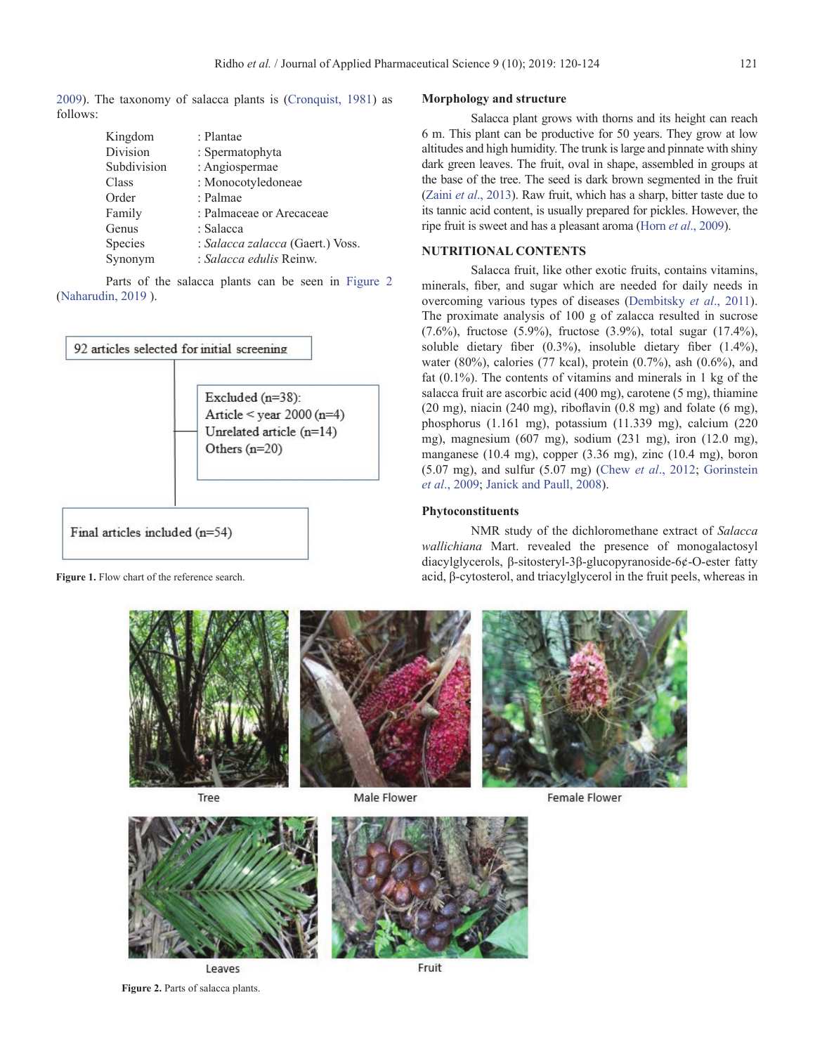<span id="page-1-0"></span>[2009\)](#page-3-0). The taxonomy of salacca plants is ([Cronquist, 1981](#page-3-0)) as follows:

| Kingdom     | : Plantae                        |  |
|-------------|----------------------------------|--|
| Division    | : Spermatophyta                  |  |
| Subdivision | : Angiospermae                   |  |
| Class       | : Monocotyledoneae               |  |
| Order       | : Palmae                         |  |
| Family      | : Palmaceae or Arecaceae         |  |
| Genus       | : Salacca                        |  |
| Species     | : Salacca zalacca (Gaert.) Voss. |  |
| Synonym     | : Salacca edulis Reinw.          |  |

Parts of the salacca plants can be seen in Figure 2 ([Naharudin, 2019](#page-4-0) ).



## **Morphology and structure**

Salacca plant grows with thorns and its height can reach 6 m. This plant can be productive for 50 years. They grow at low altitudes and high humidity. The trunk is large and pinnate with shiny dark green leaves. The fruit, oval in shape, assembled in groups at the base of the tree. The seed is dark brown segmented in the fruit (Zaini *et al*[., 2013](#page-4-0)). Raw fruit, which has a sharp, bitter taste due to its tannic acid content, is usually prepared for pickles. However, the ripe fruit is sweet and has a pleasant aroma (Horn *et al*[., 2009](#page-3-0)).

# **NUTRITIONAL CONTENTS**

Salacca fruit, like other exotic fruits, contains vitamins, minerals, fiber, and sugar which are needed for daily needs in overcoming various types of diseases ([Dembitsky](#page-3-0) *et al*., 2011). The proximate analysis of 100 g of zalacca resulted in sucrose (7.6%), fructose (5.9%), fructose (3.9%), total sugar (17.4%), soluble dietary fiber (0.3%), insoluble dietary fiber (1.4%), water (80%), calories (77 kcal), protein (0.7%), ash (0.6%), and fat (0.1%). The contents of vitamins and minerals in 1 kg of the salacca fruit are ascorbic acid (400 mg), carotene (5 mg), thiamine (20 mg), niacin (240 mg), riboflavin (0.8 mg) and folate (6 mg), phosphorus (1.161 mg), potassium (11.339 mg), calcium (220 mg), magnesium (607 mg), sodium (231 mg), iron (12.0 mg), manganese (10.4 mg), copper (3.36 mg), zinc (10.4 mg), boron (5.07 mg), and sulfur (5.07 mg) (Chew *et al*[., 2012](#page-3-0); [Gorinstein](#page-3-0)  *et al*[., 2009](#page-3-0); [Janick and Paull, 2008](#page-4-0)).

## **Phytoconstituents**

NMR study of the dichloromethane extract of *Salacca wallichiana* Mart. revealed the presence of monogalactosyl diacylglycerols, β-sitosteryl-3β-glucopyranoside-6¢-O-ester fatty **Figure 1.** Flow chart of the reference search. acid, β-cytosterol, and triacylglycerol in the fruit peels, whereas in



Tree

Male Flower



**Figure 2.** Parts of salacca plants.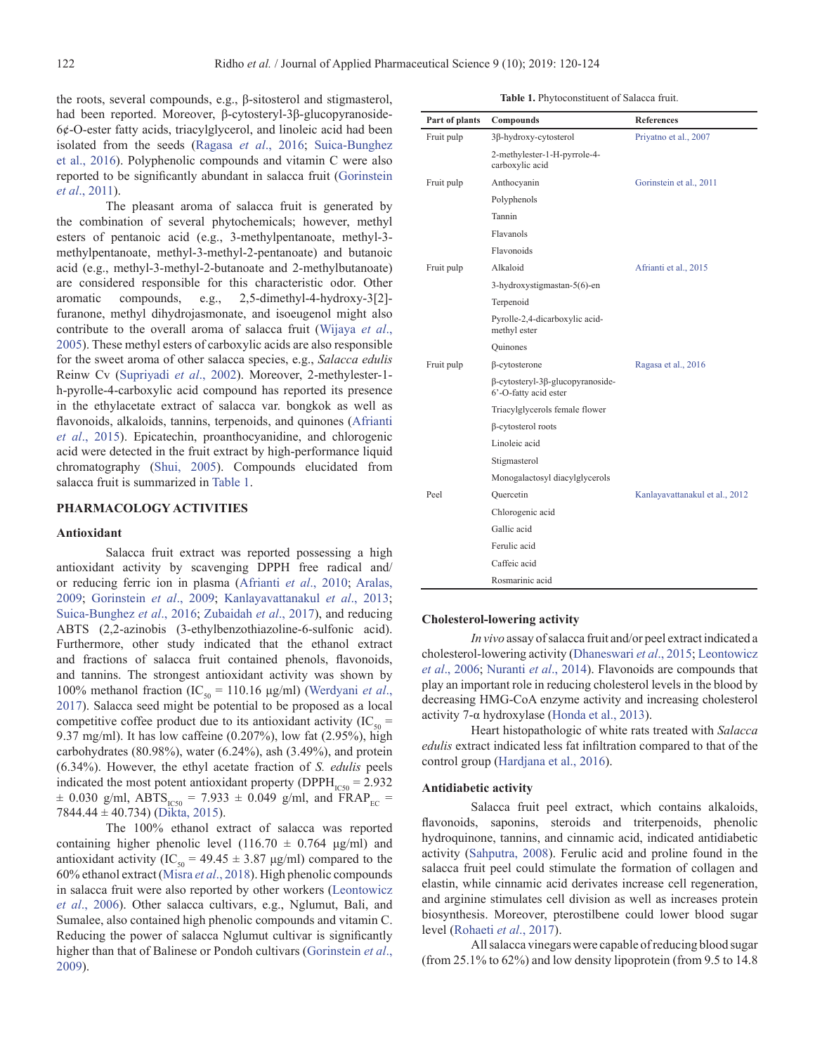the roots, several compounds, e.g., β-sitosterol and stigmasterol, had been reported. Moreover, β-cytosteryl-3β-glucopyranoside-6¢-O-ester fatty acids, triacylglycerol, and linoleic acid had been isolated from the seeds [\(Ragasa](#page-4-0) *et al*., 2016; [Suica-Bunghez](#page-4-0) [et al., 2016](#page-4-0)). Polyphenolic compounds and vitamin C were also reported to be significantly abundant in salacca fruit ([Gorinstein](#page-3-0) *et al*[., 2011](#page-3-0)).

The pleasant aroma of salacca fruit is generated by the combination of several phytochemicals; however, methyl esters of pentanoic acid (e.g., 3-methylpentanoate, methyl-3 methylpentanoate, methyl-3-methyl-2-pentanoate) and butanoic acid (e.g., methyl-3-methyl-2-butanoate and 2-methylbutanoate) are considered responsible for this characteristic odor. Other aromatic compounds, e.g., 2,5-dimethyl-4-hydroxy-3[2] furanone, methyl dihydrojasmonate, and isoeugenol might also contribute to the overall aroma of salacca fruit [\(Wijaya](#page-4-0) *et al*., [2005\)](#page-4-0). These methyl esters of carboxylic acids are also responsible for the sweet aroma of other salacca species, e.g., *Salacca edulis* Reinw Cv ([Supriyadi](#page-4-0) *et al*., 2002). Moreover, 2-methylester-1 h-pyrolle-4-carboxylic acid compound has reported its presence in the ethylacetate extract of salacca var. bongkok as well as flavonoids, alkaloids, tannins, terpenoids, and quinones ([Afrianti](#page-3-0) *et al*[., 2015](#page-3-0)). Epicatechin, proanthocyanidine, and chlorogenic acid were detected in the fruit extract by high-performance liquid chromatography [\(Shui, 2005\)](#page-4-0). Compounds elucidated from salacca fruit is summarized in Table 1.

#### **PHARMACOLOGY ACTIVITIES**

#### **Antioxidant**

Salacca fruit extract was reported possessing a high antioxidant activity by scavenging DPPH free radical and/ or reducing ferric ion in plasma [\(Afrianti](#page-3-0) *et al*., 2010; [Aralas,](#page-3-0) [2009](#page-3-0); [Gorinstein](#page-3-0) *et al*., 2009; [Kanlayavattanakul](#page-4-0) *et al*., 2013; [Suica-Bunghez](#page-4-0) *et al*., 2016; [Zubaidah](#page-4-0) *et al*., 2017), and reducing ABTS (2,2-azinobis (3-ethylbenzothiazoline-6-sulfonic acid). Furthermore, other study indicated that the ethanol extract and fractions of salacca fruit contained phenols, flavonoids, and tannins. The strongest antioxidant activity was shown by 100% methanol fraction (IC<sub>50</sub> = 110.16 μg/ml) ([Werdyani](#page-4-0) *et al.*, [2017\)](#page-4-0). Salacca seed might be potential to be proposed as a local competitive coffee product due to its antioxidant activity (IC<sub>50</sub> = 9.37 mg/ml). It has low caffeine (0.207%), low fat (2.95%), high carbohydrates  $(80.98\%)$ , water  $(6.24\%)$ , ash  $(3.49\%)$ , and protein (6.34%). However, the ethyl acetate fraction of *S. edulis* peels indicated the most potent antioxidant property ( $DPPH<sub>ICS0</sub> = 2.932$ )  $\pm$  0.030 g/ml, ABTS<sub>IC50</sub> = 7.933  $\pm$  0.049 g/ml, and FRAP<sub>EC</sub> = 7844.44 ± 40.734) ([Dikta, 2015](#page-3-0)).

The 100% ethanol extract of salacca was reported containing higher phenolic level  $(116.70 \pm 0.764 \text{ µg/ml})$  and antioxidant activity (IC<sub>50</sub> = 49.45  $\pm$  3.87 µg/ml) compared to the 60% ethanol extract (Misra *et al*[., 2018](#page-4-0)). High phenolic compounds in salacca fruit were also reported by other workers ([Leontowicz](#page-4-0) *et al*[., 2006](#page-4-0)). Other salacca cultivars, e.g., Nglumut, Bali, and Sumalee, also contained high phenolic compounds and vitamin C. Reducing the power of salacca Nglumut cultivar is significantly higher than that of Balinese or Pondoh cultivars ([Gorinstein](#page-3-0) *et al*., [2009\)](#page-3-0).

**Table 1.** Phytoconstituent of Salacca fruit.

| Part of plants | Compounds                                                                | <b>References</b>              |
|----------------|--------------------------------------------------------------------------|--------------------------------|
| Fruit pulp     | 3β-hydroxy-cytosterol                                                    | Priyatno et al., 2007          |
|                | 2-methylester-1-H-pyrrole-4-<br>carboxylic acid                          |                                |
| Fruit pulp     | Anthocyanin                                                              | Gorinstein et al., 2011        |
|                | Polyphenols                                                              |                                |
|                | Tannin                                                                   |                                |
|                | Flavanols                                                                |                                |
|                | Flavonoids                                                               |                                |
| Fruit pulp     | Alkaloid                                                                 | Afrianti et al., 2015          |
|                | 3-hydroxystigmastan-5(6)-en                                              |                                |
|                | Terpenoid                                                                |                                |
|                | Pyrolle-2,4-dicarboxylic acid-<br>methyl ester                           |                                |
|                | Quinones                                                                 |                                |
| Fruit pulp     | $\beta$ -cytosterone                                                     | Ragasa et al., 2016            |
|                | $\beta$ -cytosteryl-3 $\beta$ -glucopyranoside-<br>6'-O-fatty acid ester |                                |
|                | Triacylglycerols female flower                                           |                                |
|                | β-cytosterol roots                                                       |                                |
|                | Linoleic acid                                                            |                                |
|                | Stigmasterol                                                             |                                |
|                | Monogalactosyl diacylglycerols                                           |                                |
| Peel           | Quercetin                                                                | Kanlayavattanakul et al., 2012 |
|                | Chlorogenic acid                                                         |                                |
|                | Gallic acid                                                              |                                |
|                | Ferulic acid                                                             |                                |
|                | Caffeic acid                                                             |                                |
|                | Rosmarinic acid                                                          |                                |

#### **Cholesterol-lowering activity**

*In vivo* assay of salacca fruit and/or peel extract indicated a cholesterol-lowering activity ([Dhaneswari](#page-3-0) *et al*., 2015; [Leontowicz](#page-4-0)  *et al*[., 2006](#page-4-0); [Nuranti](#page-4-0) *et al*., 2014). Flavonoids are compounds that play an important role in reducing cholesterol levels in the blood by decreasing HMG-CoA enzyme activity and increasing cholesterol activity 7- $\alpha$  hydroxylase ([Honda et al., 2013\)](#page-3-0).

Heart histopathologic of white rats treated with *Salacca edulis* extract indicated less fat infiltration compared to that of the control group ([Hardjana et al., 2016\)](#page-3-0).

#### **Antidiabetic activity**

Salacca fruit peel extract, which contains alkaloids, flavonoids, saponins, steroids and triterpenoids, phenolic hydroquinone, tannins, and cinnamic acid, indicated antidiabetic activity ([Sahputra, 2008](#page-4-0)). Ferulic acid and proline found in the salacca fruit peel could stimulate the formation of collagen and elastin, while cinnamic acid derivates increase cell regeneration, and arginine stimulates cell division as well as increases protein biosynthesis. Moreover, pterostilbene could lower blood sugar level [\(Rohaeti](#page-4-0) *et al*., 2017).

All salacca vinegars were capable of reducing blood sugar (from 25.1% to 62%) and low density lipoprotein (from 9.5 to 14.8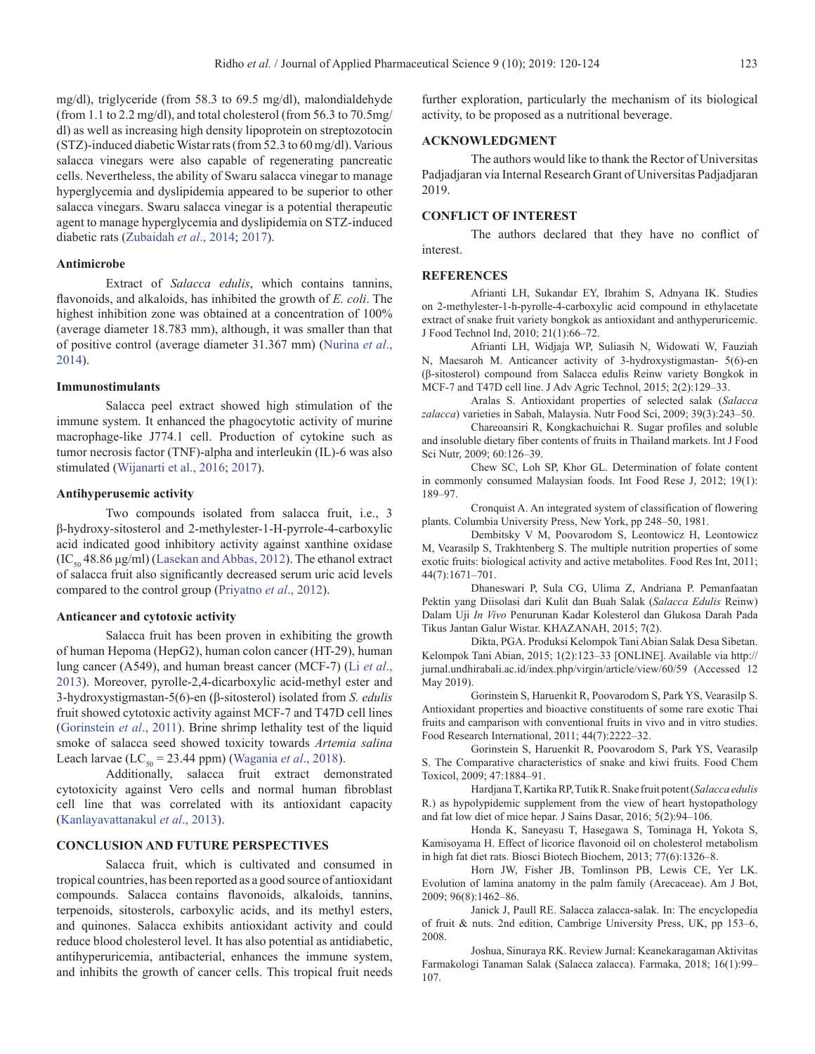<span id="page-3-0"></span>mg/dl), triglyceride (from 58.3 to 69.5 mg/dl), malondialdehyde (from 1.1 to 2.2 mg/dl), and total cholesterol (from 56.3 to 70.5mg/ dl) as well as increasing high density lipoprotein on streptozotocin (STZ)-induced diabetic Wistar rats (from 52.3 to 60 mg/dl). Various salacca vinegars were also capable of regenerating pancreatic cells. Nevertheless, the ability of Swaru salacca vinegar to manage hyperglycemia and dyslipidemia appeared to be superior to other salacca vinegars. Swaru salacca vinegar is a potential therapeutic agent to manage hyperglycemia and dyslipidemia on STZ-induced diabetic rats ([Zubaidah](#page-4-0) *et al*., 2014; [2017\)](#page-4-0).

## **Antimicrobe**

Extract of *Salacca edulis*, which contains tannins, flavonoids, and alkaloids, has inhibited the growth of *E. coli*. The highest inhibition zone was obtained at a concentration of 100% (average diameter 18.783 mm), although, it was smaller than that of positive control (average diameter 31.367 mm) [\(Nurina](#page-4-0) *et al*., [2014\)](#page-4-0).

#### **Immunostimulants**

Salacca peel extract showed high stimulation of the immune system. It enhanced the phagocytotic activity of murine macrophage-like J774.1 cell. Production of cytokine such as tumor necrosis factor (TNF)-alpha and interleukin (IL)-6 was also stimulated [\(Wijanarti et al., 201](#page-4-0)6; [2017](#page-4-0)).

#### **Antihyperusemic activity**

Two compounds isolated from salacca fruit, i.e., 3 β-hydroxy-sitosterol and 2-methylester-1-H-pyrrole-4-carboxylic acid indicated good inhibitory activity against xanthine oxidase  $(IC_{50}$  48.86 μg/ml) ([Lasekan and Abbas, 2012\)](#page-4-0). The ethanol extract of salacca fruit also significantly decreased serum uric acid levels compared to the control group [\(Priyatno](#page-4-0) *et al*., 2012).

#### **Anticancer and cytotoxic activity**

Salacca fruit has been proven in exhibiting the growth of human Hepoma (HepG2), human colon cancer (HT-29), human lung cancer (A549), and human breast cancer (MCF-7) (Li *[et al](#page-4-0)*., [2013\)](#page-4-0). Moreover, pyrolle-2,4-dicarboxylic acid-methyl ester and 3-hydroxystigmastan-5(6)-en (β-sitosterol) isolated from *S. edulis* fruit showed cytotoxic activity against MCF-7 and T47D cell lines (Gorinstein *et al*., 2011). Brine shrimp lethality test of the liquid smoke of salacca seed showed toxicity towards *Artemia salina*  Leach larvae (LC<sub>50</sub> = 23.44 ppm) [\(Wagania](#page-4-0) *et al.*, 2018).

Additionally, salacca fruit extract demonstrated cytotoxicity against Vero cells and normal human fibroblast cell line that was correlated with its antioxidant capacity ([Kanlayavattanakul](#page-4-0) *et al*., 2013).

#### **CONCLUSION AND FUTURE PERSPECTIVES**

Salacca fruit, which is cultivated and consumed in tropical countries, has been reported as a good source of antioxidant compounds. Salacca contains flavonoids, alkaloids, tannins, terpenoids, sitosterols, carboxylic acids, and its methyl esters, and quinones. Salacca exhibits antioxidant activity and could reduce blood cholesterol level. It has also potential as antidiabetic, antihyperuricemia, antibacterial, enhances the immune system, and inhibits the growth of cancer cells. This tropical fruit needs

further exploration, particularly the mechanism of its biological activity, to be proposed as a nutritional beverage.

## **ACKNOWLEDGMENT**

The authors would like to thank the Rector of Universitas Padjadjaran via Internal Research Grant of Universitas Padjadjaran 2019.

## **CONFLICT OF INTEREST**

The authors declared that they have no conflict of interest.

#### **REFERENCES**

Afrianti LH, Sukandar EY, Ibrahim S, Adnyana IK. Studies on 2-methylester-1-h-pyrolle-4-carboxylic acid compound in ethylacetate extract of snake fruit variety bongkok as antioxidant and anthyperuricemic. J Food Technol Ind, 2010; 21(1):66–72.

Afrianti LH, Widjaja WP, Suliasih N, Widowati W, Fauziah N, Maesaroh M. Anticancer activity of 3-hydroxystigmastan- 5(6)-en (β-sitosterol) compound from Salacca edulis Reinw variety Bongkok in MCF-7 and T47D cell line. J Adv Agric Technol, 2015; 2(2):129–33.

Aralas S. Antioxidant properties of selected salak (*Salacca zalacca*) varieties in Sabah, Malaysia. Nutr Food Sci, 2009; 39(3):243–50.

Chareoansiri R, Kongkachuichai R. Sugar profiles and soluble and insoluble dietary fiber contents of fruits in Thailand markets. Int J Food Sci Nutr, 2009; 60:126–39.

Chew SC, Loh SP, Khor GL. Determination of folate content in commonly consumed Malaysian foods. Int Food Rese J, 2012; 19(1): 189–97.

Cronquist A. An integrated system of classification of flowering plants. Columbia University Press, New York, pp 248–50, 1981.

Dembitsky V M, Poovarodom S, Leontowicz H, Leontowicz M, Vearasilp S, Trakhtenberg S. The multiple nutrition properties of some exotic fruits: biological activity and active metabolites. Food Res Int, 2011; 44(7):1671–701.

Dhaneswari P, Sula CG, Ulima Z, Andriana P. Pemanfaatan Pektin yang Diisolasi dari Kulit dan Buah Salak (*Salacca Edulis* Reinw) Dalam Uji *In Vivo* Penurunan Kadar Kolesterol dan Glukosa Darah Pada Tikus Jantan Galur Wistar. KHAZANAH, 2015; 7(2).

Dikta, PGA. Produksi Kelompok Tani Abian Salak Desa Sibetan. Kelompok Tani Abian, 2015; 1(2):123–33 [ONLINE]. Available via http:// jurnal.undhirabali.ac.id/index.php/virgin/article/view/60/59 (Accessed 12 May 2019).

Gorinstein S, Haruenkit R, Poovarodom S, Park YS, Vearasilp S. Antioxidant properties and bioactive constituents of some rare exotic Thai fruits and camparison with conventional fruits in vivo and in vitro studies. Food Research International, 2011; 44(7):2222–32.

Gorinstein S, Haruenkit R, Poovarodom S, Park YS, Vearasilp S. The Comparative characteristics of snake and kiwi fruits. Food Chem Toxicol, 2009; 47:1884–91.

Hardjana T, Kartika RP, Tutik R. Snake fruit potent (*Salacca edulis* R.) as hypolypidemic supplement from the view of heart hystopathology and fat low diet of mice hepar. J Sains Dasar, 2016; 5(2):94–106.

Honda K, Saneyasu T, Hasegawa S, Tominaga H, Yokota S, Kamisoyama H. Effect of licorice flavonoid oil on cholesterol metabolism in high fat diet rats. Biosci Biotech Biochem, 2013; 77(6):1326–8.

Horn JW, Fisher JB, Tomlinson PB, Lewis CE, Yer LK. Evolution of lamina anatomy in the palm family (Arecaceae). Am J Bot, 2009; 96(8):1462–86.

Janick J, Paull RE. Salacca zalacca-salak. In: The encyclopedia of fruit & nuts. 2nd edition, Cambrige University Press, UK, pp 153–6, 2008.

Joshua, Sinuraya RK. Review Jurnal: Keanekaragaman Aktivitas Farmakologi Tanaman Salak (Salacca zalacca). Farmaka, 2018; 16(1):99– 107.